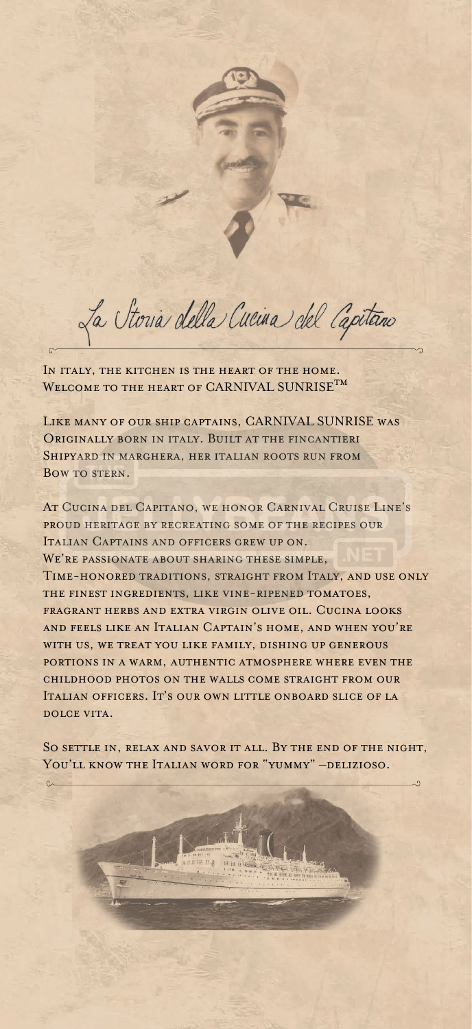La Storia della Cucina del Capitano

IN ITALY, THE KITCHEN IS THE HEART OF THE HOME. WELCOME TO THE HEART OF CARNIVAL SUNRISE  $\texttt{T}^{\textbf{M}}$ 

Like many of our ship captains, CARNIVAL SUNRISE was Originally born in italy. Built at the fincantieri SHIPYARD IN MARGHERA, HER ITALIAN ROOTS RUN FROM BOW TO STERN.

At Cucina del Capitano, we honor Carnival Cruise Line's proud heritage by recreating some of the recipes our Italian Captains and officers grew up on. WE'RE PASSIONATE ABOUT SHARING THESE SIMPLE, Time-honored traditions, straight from Italy, and use only the finest ingredients, like vine-ripened tomatoes, fragrant herbs and extra virgin olive oil. Cucina looks and feels like an Italian Captain's home, and when you're with us, we treat you like family, dishing up generous portions in a warm, authentic atmosphere where even the childhood photos on the walls come straight from our Italian officers. It's our own little onboard slice of la dolce vita.

So settle in, relax and savor it all. By the end of the night, You'll know the Italian word for "yummy" –delizioso.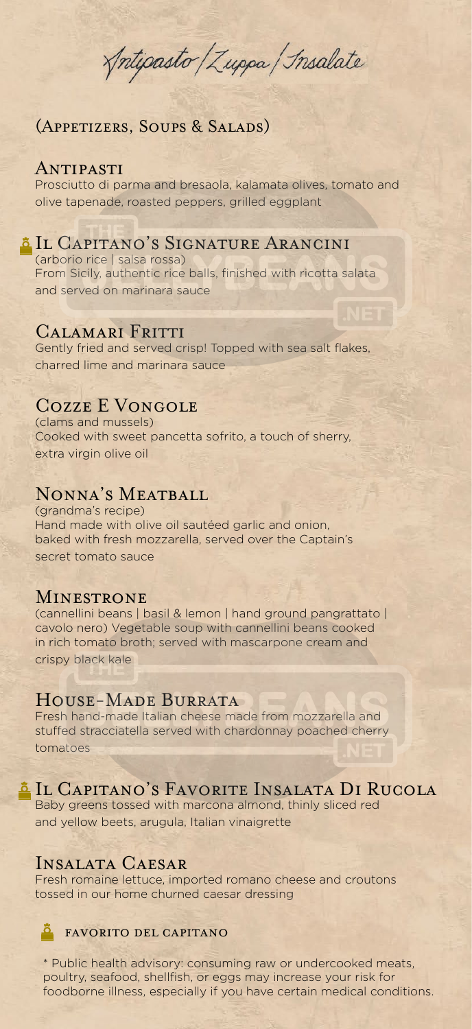Antipasto / Zuppa / Insalate

# (Appetizers, Soups & Salads)

### Antipasti

Prosciutto di parma and bresaola, kalamata olives, tomato and olive tapenade, roasted peppers, grilled eggplant

# Il Capitano's Signature Arancini

(arborio rice | salsa rossa) From Sicily, authentic rice balls, finished with ricotta salata and served on marinara sauce

### Calamari Fritti

Gently fried and served crisp! Topped with sea salt flakes, charred lime and marinara sauce

# Cozze E Vongole

(clams and mussels) Cooked with sweet pancetta sofrito, a touch of sherry, extra virgin olive oil

# Nonna's Meatball

(grandma's recipe) Hand made with olive oil sautéed garlic and onion, baked with fresh mozzarella, served over the Captain's secret tomato sauce

### Minestrone

(cannellini beans | basil & lemon | hand ground pangrattato | cavolo nero) Vegetable soup with cannellini beans cooked in rich tomato broth; served with mascarpone cream and crispy black kale

# House-Made Burrata

Fresh hand-made Italian cheese made from mozzarella and stuffed stracciatella served with chardonnay poached cherry tomatoes

# Il Capitano's Favorite Insalata Di Rucola

Baby greens tossed with marcona almond, thinly sliced red and yellow beets, arugula, Italian vinaigrette

### Insalata Caesar

Fresh romaine lettuce, imported romano cheese and croutons tossed in our home churned caesar dressing

### favorito del capitano

\* Public health advisory: consuming raw or undercooked meats, poultry, seafood, shellfish, or eggs may increase your risk for foodborne illness, especially if you have certain medical conditions.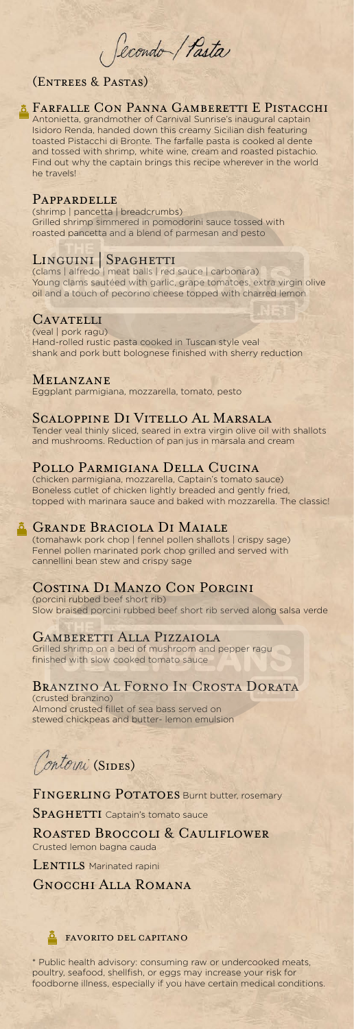

### Farfalle Con Panna Gamberetti E Pistacchi

Antonietta, grandmother of Carnival Sunrise's inaugural captain Isidoro Renda, handed down this creamy Sicilian dish featuring toasted Pistacchi di Bronte. The farfalle pasta is cooked al dente and tossed with shrimp, white wine, cream and roasted pistachio. Find out why the captain brings this recipe wherever in the world he travels!

### Pappardelle

(shrimp | pancetta | breadcrumbs) Grilled shrimp simmered in pomodorini sauce tossed with roasted pancetta and a blend of parmesan and pesto

# LINGUINI | SPAGHETTI

(clams | alfredo | meat balls | red sauce | carbonara) Young clams sautéed with garlic, grape tomatoes, extra virgin olive oil and a touch of pecorino cheese topped with charred lemon

### **CAVATELLI**

(veal | pork ragu) Hand-rolled rustic pasta cooked in Tuscan style veal shank and pork butt bolognese finished with sherry reduction

### Melanzane

Eggplant parmigiana, mozzarella, tomato, pesto

### Scaloppine Di Vitello Al Marsala

Tender veal thinly sliced, seared in extra virgin olive oil with shallots and mushrooms. Reduction of pan jus in marsala and cream

### Pollo Parmigiana Della Cucina

SPAGHETTI Captain's tomato sauce Roasted Broccoli & Cauliflower Crusted lemon bagna cauda LENTILS Marinated rapini Gnocchi Alla Romana

(chicken parmigiana, mozzarella, Captain's tomato sauce) Boneless cutlet of chicken lightly breaded and gently fried, topped with marinara sauce and baked with mozzarella. The classic!

### **E** GRANDE BRACIOLA DI MAIALE

(tomahawk pork chop | fennel pollen shallots | crispy sage) Fennel pollen marinated pork chop grilled and served with cannellini bean stew and crispy sage

# Costina Di Manzo Con Porcini

(porcini rubbed beef short rib) Slow braised porcini rubbed beef short rib served along salsa verde

### Gamberetti Alla Pizzaiola

Grilled shrimp on a bed of mushroom and pepper ragu finished with slow cooked tomato sauce

# Branzino Al Forno In Crosta Dorata

(crusted branzino) Almond crusted fillet of sea bass served on stewed chickpeas and butter- lemon emulsion

Contorni (SIDES)

FINGERLING POTATOES Burnt butter, rosemary

Secondo / Pasta

# (Entrees & Pastas)

\* Public health advisory: consuming raw or undercooked meats, poultry, seafood, shellfish, or eggs may increase your risk for foodborne illness, especially if you have certain medical conditions.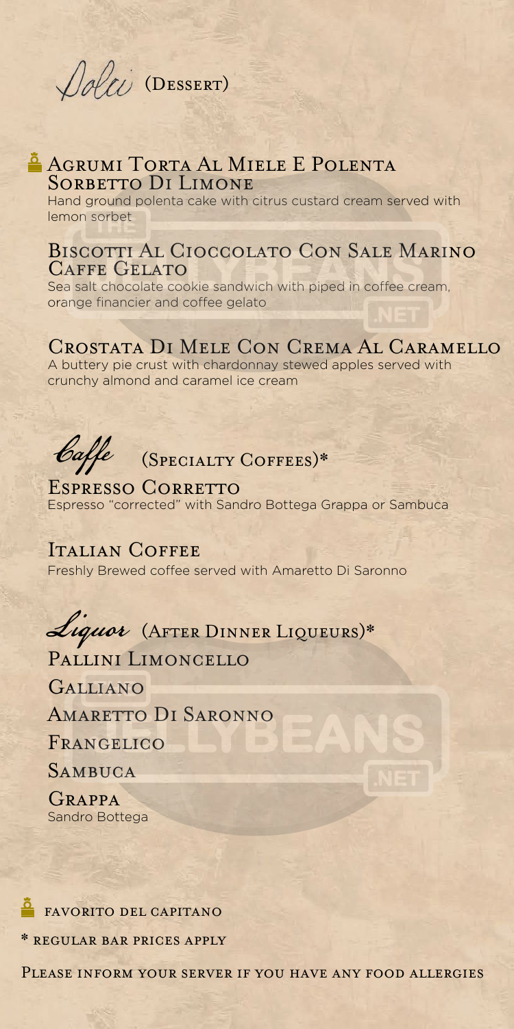

# AGRUMI TORTA AL MIELE E POLENTA SORBETTO DI LIMONE

Hand ground polenta cake with citrus custard cream served with lemon sorbet

# Biscotti Al Cioccolato Con Sale Marino CAFFE GELATO

Sea salt chocolate cookie sandwich with piped in coffee cream, orange financier and coffee gelato

# Crostata Di Mele Con Crema Al Caramello

A buttery pie crust with chardonnay stewed apples served with crunchy almond and caramel ice cream



# Caffe (SPECIALTY COFFEES)\*

# ESPRESSO CORRETTO

Espresso "corrected" with Sandro Bottega Grappa or Sambuca

### ITALIAN COFFEE

Freshly Brewed coffee served with Amaretto Di Saronno

# Liquor (AFTER DINNER LIQUEURS)\*

# PALLINI LIMONCELLO

Galliano

Amaretto Di Saronno

FRANGELICO

**SAMBUCA** 

Grappa Sandro Bottega

### favorito del capitano

\* regular bar prices apply

Please inform your server if you have any food allergies